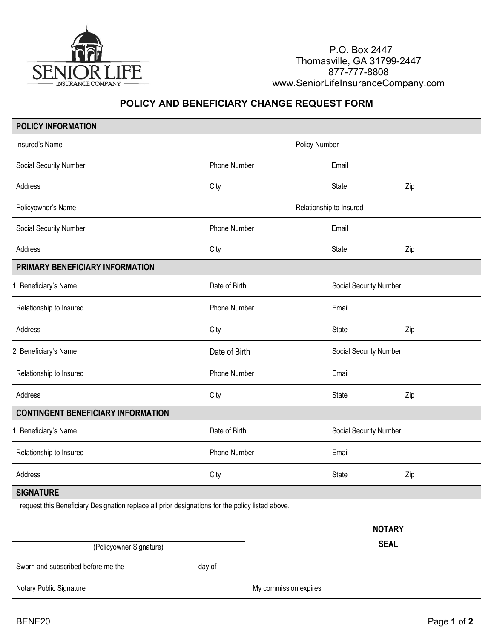

P.O. Box 2447 Thomasville, GA 31799-2447 877-777-8808 www.SeniorLifeInsuranceCompany.com

## **POLICY AND BENEFICIARY CHANGE REQUEST FORM**

| <b>POLICY INFORMATION</b>                                                                          |                       |                         |                        |  |  |
|----------------------------------------------------------------------------------------------------|-----------------------|-------------------------|------------------------|--|--|
| Insured's Name                                                                                     |                       | Policy Number           |                        |  |  |
| Social Security Number                                                                             | Phone Number          | Email                   |                        |  |  |
| Address                                                                                            | City                  | <b>State</b>            | Zip                    |  |  |
| Policyowner's Name                                                                                 |                       | Relationship to Insured |                        |  |  |
| Social Security Number                                                                             | Phone Number          | Email                   |                        |  |  |
| Address                                                                                            | City                  | <b>State</b>            | Zip                    |  |  |
| PRIMARY BENEFICIARY INFORMATION                                                                    |                       |                         |                        |  |  |
| 1. Beneficiary's Name                                                                              | Date of Birth         |                         | Social Security Number |  |  |
| Relationship to Insured                                                                            | Phone Number          | Email                   |                        |  |  |
| Address                                                                                            | City                  | State                   | Zip                    |  |  |
| 2. Beneficiary's Name                                                                              | Date of Birth         |                         | Social Security Number |  |  |
| Relationship to Insured                                                                            | Phone Number          | Email                   |                        |  |  |
| Address                                                                                            | City                  | State                   | Zip                    |  |  |
| <b>CONTINGENT BENEFICIARY INFORMATION</b>                                                          |                       |                         |                        |  |  |
| 1. Beneficiary's Name                                                                              | Date of Birth         |                         | Social Security Number |  |  |
| Relationship to Insured                                                                            | Phone Number          | Email                   |                        |  |  |
| Address                                                                                            | City                  | State                   | Zip                    |  |  |
| <b>SIGNATURE</b>                                                                                   |                       |                         |                        |  |  |
| I request this Beneficiary Designation replace all prior designations for the policy listed above. |                       |                         |                        |  |  |
|                                                                                                    |                       | <b>NOTARY</b>           |                        |  |  |
| (Policyowner Signature)                                                                            |                       | <b>SEAL</b>             |                        |  |  |
| Sworn and subscribed before me the                                                                 | day of                |                         |                        |  |  |
|                                                                                                    |                       |                         |                        |  |  |
| Notary Public Signature                                                                            | My commission expires |                         |                        |  |  |